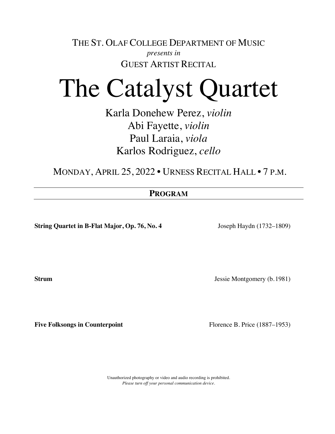THE ST. OLAF COLLEGE DEPARTMENT OF MUSIC *presents in* GUEST ARTIST RECITAL

## The Catalyst Quartet

Karla Donehew Perez, *violin* Abi Fayette, *violin* Paul Laraia, *viola* Karlos Rodriguez, *cello*

MONDAY, APRIL 25, 2022 • URNESS RECITAL HALL • 7 P.M.

## **PROGRAM**

**String Quartet in B-Flat Major, Op. 76, No. 4** Joseph Haydn (1732–1809)

**Strum Jessie Montgomery (b.1981)** 

**Five Folksongs in Counterpoint** Florence B. Price (1887–1953)

Unauthorized photography or video and audio recording is prohibited. *Please turn off your personal communication device.*